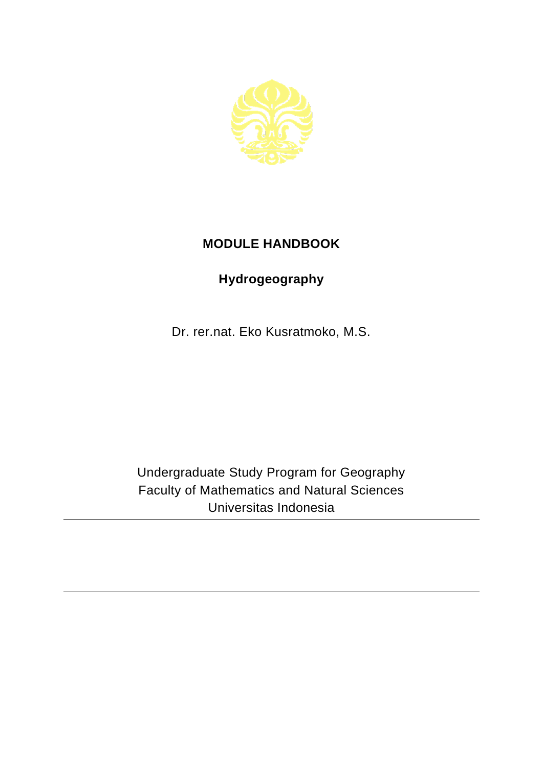

## **MODULE HANDBOOK**

## **Hydrogeography**

Dr. rer.nat. Eko Kusratmoko, M.S.

Undergraduate Study Program for Geography Faculty of Mathematics and Natural Sciences Universitas Indonesia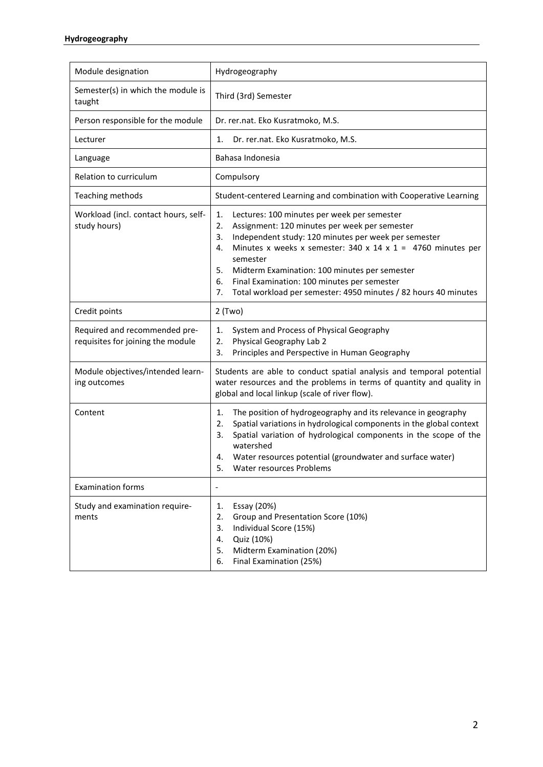| Module designation                                                 | Hydrogeography                                                                                                                                                                                                                                                                                                                                                                                                                               |
|--------------------------------------------------------------------|----------------------------------------------------------------------------------------------------------------------------------------------------------------------------------------------------------------------------------------------------------------------------------------------------------------------------------------------------------------------------------------------------------------------------------------------|
| Semester(s) in which the module is<br>taught                       | Third (3rd) Semester                                                                                                                                                                                                                                                                                                                                                                                                                         |
| Person responsible for the module                                  | Dr. rer.nat. Eko Kusratmoko, M.S.                                                                                                                                                                                                                                                                                                                                                                                                            |
| Lecturer                                                           | Dr. rer.nat. Eko Kusratmoko, M.S.<br>1.                                                                                                                                                                                                                                                                                                                                                                                                      |
| Language                                                           | Bahasa Indonesia                                                                                                                                                                                                                                                                                                                                                                                                                             |
| Relation to curriculum                                             | Compulsory                                                                                                                                                                                                                                                                                                                                                                                                                                   |
| Teaching methods                                                   | Student-centered Learning and combination with Cooperative Learning                                                                                                                                                                                                                                                                                                                                                                          |
| Workload (incl. contact hours, self-<br>study hours)               | 1.<br>Lectures: 100 minutes per week per semester<br>2.<br>Assignment: 120 minutes per week per semester<br>Independent study: 120 minutes per week per semester<br>3.<br>Minutes x weeks x semester: 340 x 14 x 1 = 4760 minutes per<br>4.<br>semester<br>5.<br>Midterm Examination: 100 minutes per semester<br>Final Examination: 100 minutes per semester<br>6.<br>Total workload per semester: 4950 minutes / 82 hours 40 minutes<br>7. |
| Credit points                                                      | $2$ (Two)                                                                                                                                                                                                                                                                                                                                                                                                                                    |
| Required and recommended pre-<br>requisites for joining the module | System and Process of Physical Geography<br>1.<br>Physical Geography Lab 2<br>2.<br>3.<br>Principles and Perspective in Human Geography                                                                                                                                                                                                                                                                                                      |
| Module objectives/intended learn-<br>ing outcomes                  | Students are able to conduct spatial analysis and temporal potential<br>water resources and the problems in terms of quantity and quality in<br>global and local linkup (scale of river flow).                                                                                                                                                                                                                                               |
| Content                                                            | The position of hydrogeography and its relevance in geography<br>1.<br>Spatial variations in hydrological components in the global context<br>2.<br>Spatial variation of hydrological components in the scope of the<br>3.<br>watershed<br>Water resources potential (groundwater and surface water)<br>4.<br>5.<br>Water resources Problems                                                                                                 |
| <b>Examination forms</b>                                           | $\overline{\phantom{a}}$                                                                                                                                                                                                                                                                                                                                                                                                                     |
| Study and examination require-<br>ments                            | Essay (20%)<br>1.<br>Group and Presentation Score (10%)<br>2.<br>Individual Score (15%)<br>3.<br>Quiz (10%)<br>4.<br>Midterm Examination (20%)<br>5.<br>Final Examination (25%)<br>6.                                                                                                                                                                                                                                                        |